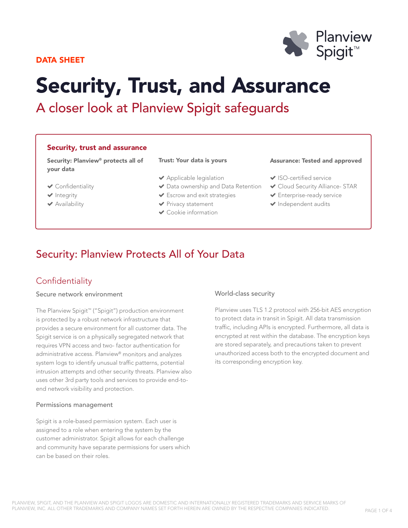# DATA SHEET



# Security, Trust, and Assurance

A closer look at Planview Spigit safeguards

# Security, trust and assurance

Security: Planview® protects all of your data

#### Trust: Your data is yours

- Applicable legislation
- ◆ Data ownership and Data Retention
- Escrow and exit strategies
	- $\blacktriangleright$  Privacy statement
	- Cookie information

#### Assurance: Tested and approved

- ◆ ISO-certified service
- **▼ Cloud Security Alliance- STAR**
- Enterprise-ready service
- $\blacktriangleright$  Independent audits

# Security: Planview Protects All of Your Data

# **Confidentiality**

 Confidentiality  $\blacktriangleright$  Integrity Availability

## Secure network environment

The Planview Spigit™ ("Spigit") production environment is protected by a robust network infrastructure that provides a secure environment for all customer data. The Spigit service is on a physically segregated network that requires VPN access and two- factor authentication for administrative access. Planview® monitors and analyzes system logs to identify unusual traffic patterns, potential intrusion attempts and other security threats. Planview also uses other 3rd party tools and services to provide end-toend network visibility and protection.

### Permissions management

Spigit is a role-based permission system. Each user is assigned to a role when entering the system by the customer administrator. Spigit allows for each challenge and community have separate permissions for users which can be based on their roles.

# World-class security

Planview uses TLS 1.2 protocol with 256-bit AES encryption to protect data in transit in Spigit. All data transmission traffic, including APIs is encrypted. Furthermore, all data is encrypted at rest within the database. The encryption keys are stored separately, and precautions taken to prevent unauthorized access both to the encrypted document and its corresponding encryption key.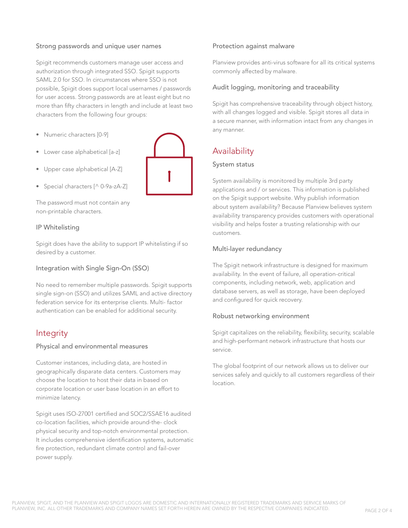# Strong passwords and unique user names

Spigit recommends customers manage user access and authorization through integrated SSO. Spigit supports SAML 2.0 for SSO. In circumstances where SSO is not possible, Spigit does support local usernames / passwords for user access. Strong passwords are at least eight but no more than fifty characters in length and include at least two characters from the following four groups:

- Numeric characters [0-9]
- Lower case alphabetical [a-z]
- Upper case alphabetical [A-Z]
- Special characters [^ 0-9a-zA-Z]

The password must not contain any non-printable characters.

### IP Whitelisting

Spigit does have the ability to support IP whitelisting if so desired by a customer.

### Integration with Single Sign-On (SSO)

No need to remember multiple passwords. Spigit supports single sign-on (SSO) and utilizes SAML and active directory federation service for its enterprise clients. Multi- factor authentication can be enabled for additional security.

# Integrity

### Physical and environmental measures

Customer instances, including data, are hosted in geographically disparate data centers. Customers may choose the location to host their data in based on corporate location or user base location in an effort to minimize latency.

Spigit uses ISO-27001 certified and SOC2/SSAE16 audited co-location facilities, which provide around-the- clock physical security and top-notch environmental protection. It includes comprehensive identification systems, automatic fire protection, redundant climate control and fail-over power supply.

### Protection against malware

Planview provides anti-virus software for all its critical systems commonly affected by malware.

#### Audit logging, monitoring and traceability

Spigit has comprehensive traceability through object history, with all changes logged and visible. Spigit stores all data in a secure manner, with information intact from any changes in any manner.

# **Availability**

# System status

System availability is monitored by multiple 3rd party applications and / or services. This information is published on the Spigit support website. Why publish information about system availability? Because Planview believes system availability transparency provides customers with operational visibility and helps foster a trusting relationship with our customers.

### Multi-layer redundancy

The Spigit network infrastructure is designed for maximum availability. In the event of failure, all operation-critical components, including network, web, application and database servers, as well as storage, have been deployed and configured for quick recovery.

### Robust networking environment

Spigit capitalizes on the reliability, flexibility, security, scalable and high-performant network infrastructure that hosts our service.

The global footprint of our network allows us to deliver our services safely and quickly to all customers regardless of their location.

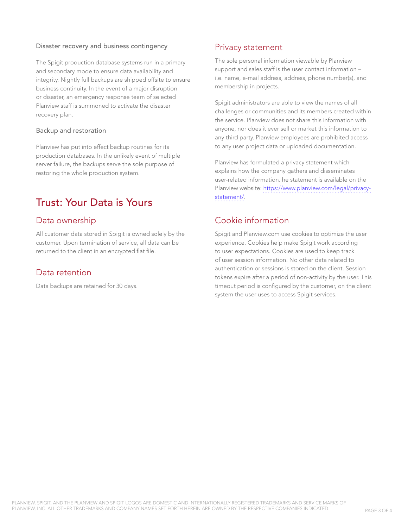# Disaster recovery and business contingency

The Spigit production database systems run in a primary and secondary mode to ensure data availability and integrity. Nightly full backups are shipped offsite to ensure business continuity. In the event of a major disruption or disaster, an emergency response team of selected Planview staff is summoned to activate the disaster recovery plan.

# Backup and restoration

Planview has put into effect backup routines for its production databases. In the unlikely event of multiple server failure, the backups serve the sole purpose of restoring the whole production system.

# Trust: Your Data is Yours

# Data ownership

All customer data stored in Spigit is owned solely by the customer. Upon termination of service, all data can be returned to the client in an encrypted flat file.

# Data retention

Data backups are retained for 30 days.

# Privacy statement

The sole personal information viewable by Planview support and sales staff is the user contact information – i.e. name, e-mail address, address, phone number(s), and membership in projects.

Spigit administrators are able to view the names of all challenges or communities and its members created within the service. Planview does not share this information with anyone, nor does it ever sell or market this information to any third party. Planview employees are prohibited access to any user project data or uploaded documentation.

Planview has formulated a privacy statement which explains how the company gathers and disseminates user-related information. he statement is available on the Planview website: [https://www.planview.com/legal/privacy](https://www.planview.com/legal/privacy-statement/)[statement/](https://www.planview.com/legal/privacy-statement/).

# Cookie information

Spigit and Planview.com use cookies to optimize the user experience. Cookies help make Spigit work according to user expectations. Cookies are used to keep track of user session information. No other data related to authentication or sessions is stored on the client. Session tokens expire after a period of non-activity by the user. This timeout period is configured by the customer, on the client system the user uses to access Spigit services.